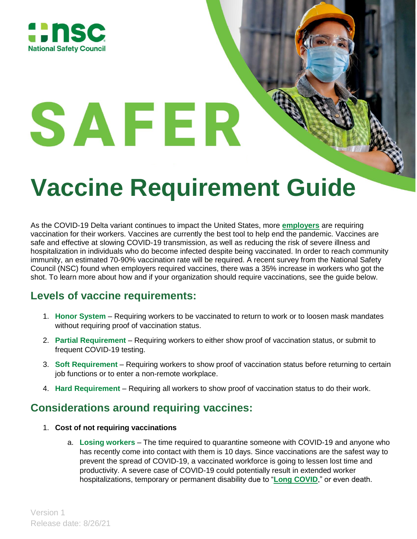

# **Vaccine Requirement Guide**

As the COVID-19 Delta variant continues to impact the United States, more **[employers](https://www.healthaction.org/resources/vaccines/covid-19-vaccines-employer-requirements-health-action-alliance)** are requiring vaccination for their workers. Vaccines are currently the best tool to help end the pandemic. Vaccines are safe and effective at slowing COVID-19 transmission, as well as reducing the risk of severe illness and hospitalization in individuals who do become infected despite being vaccinated. In order to reach community immunity, an estimated 70-90% vaccination rate will be required. A recent survey from the National Safety Council (NSC) found when employers required vaccines, there was a 35% increase in workers who got the shot. To learn more about how and if your organization should require vaccinations, see the guide below.

## **Levels of vaccine requirements:**

SAFER

- 1. **Honor System** Requiring workers to be vaccinated to return to work or to loosen mask mandates without requiring proof of vaccination status.
- 2. **Partial Requirement** Requiring workers to either show proof of vaccination status, or submit to frequent COVID-19 testing.
- 3. **Soft Requirement** Requiring workers to show proof of vaccination status before returning to certain job functions or to enter a non-remote workplace.
- 4. **Hard Requirement** Requiring all workers to show proof of vaccination status to do their work.

## **Considerations around requiring vaccines:**

- 1. **Cost of not requiring vaccinations**
	- a. **Losing workers** The time required to quarantine someone with COVID-19 and anyone who has recently come into contact with them is 10 days. Since vaccinations are the safest way to prevent the spread of COVID-19, a vaccinated workforce is going to lessen lost time and productivity. A severe case of COVID-19 could potentially result in extended worker hospitalizations, temporary or permanent disability due to "**[Long COVID](https://www.hhs.gov/civil-rights/for-providers/civil-rights-covid19/guidance-long-covid-disability/index.html)**," or even death.

Version 1 Release date: 8/26/21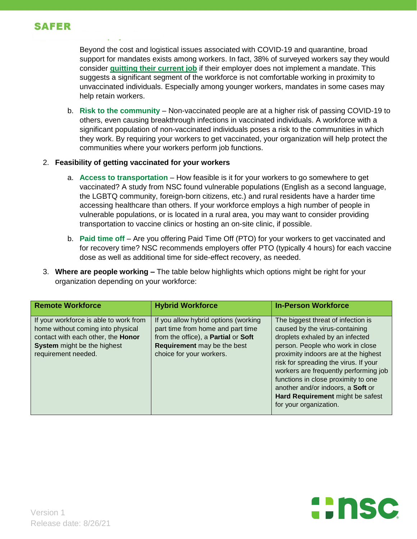

Beyond the cost and logistical issues associated with COVID-19 and quarantine, broad support for mandates exists among workers. In fact, 38% of surveyed workers say they would consider **[quitting their current job](https://qz.com/work/2045018/survey-shows-the-business-risk-of-not-adopting-a-vaccine-mandate/)** if their employer does not implement a mandate. This suggests a significant segment of the workforce is not comfortable working in proximity to unvaccinated individuals. Especially among younger workers, mandates in some cases may help retain workers.

b. **Risk to the community** – Non-vaccinated people are at a higher risk of passing COVID-19 to others, even causing breakthrough infections in vaccinated individuals. A workforce with a significant population of non-vaccinated individuals poses a risk to the communities in which they work. By requiring your workers to get vaccinated, your organization will help protect the communities where your workers perform job functions.

#### 2. **Feasibility of getting vaccinated for your workers**

- a. **Access to transportation** How feasible is it for your workers to go somewhere to get vaccinated? A study from NSC found vulnerable populations (English as a second language, the LGBTQ community, foreign-born citizens, etc.) and rural residents have a harder time accessing healthcare than others. If your workforce employs a high number of people in vulnerable populations, or is located in a rural area, you may want to consider providing transportation to vaccine clinics or hosting an on-site clinic, if possible.
- b. **Paid time off**  Are you offering Paid Time Off (PTO) for your workers to get vaccinated and for recovery time? NSC recommends employers offer PTO (typically 4 hours) for each vaccine dose as well as additional time for side-effect recovery, as needed.
- 3. **Where are people working –** The table below highlights which options might be right for your organization depending on your workforce:

| <b>Remote Workforce</b>                                                                                                                                                 | <b>Hybrid Workforce</b>                                                                                                                                                     | <b>In-Person Workforce</b>                                                                                                                                                                                                                                                                                                                                                                                      |
|-------------------------------------------------------------------------------------------------------------------------------------------------------------------------|-----------------------------------------------------------------------------------------------------------------------------------------------------------------------------|-----------------------------------------------------------------------------------------------------------------------------------------------------------------------------------------------------------------------------------------------------------------------------------------------------------------------------------------------------------------------------------------------------------------|
| If your workforce is able to work from<br>home without coming into physical<br>contact with each other, the Honor<br>System might be the highest<br>requirement needed. | If you allow hybrid options (working<br>part time from home and part time<br>from the office), a Partial or Soft<br>Requirement may be the best<br>choice for your workers. | The biggest threat of infection is<br>caused by the virus-containing<br>droplets exhaled by an infected<br>person. People who work in close<br>proximity indoors are at the highest<br>risk for spreading the virus. If your<br>workers are frequently performing job<br>functions in close proximity to one<br>another and/or indoors, a Soft or<br>Hard Requirement might be safest<br>for your organization. |